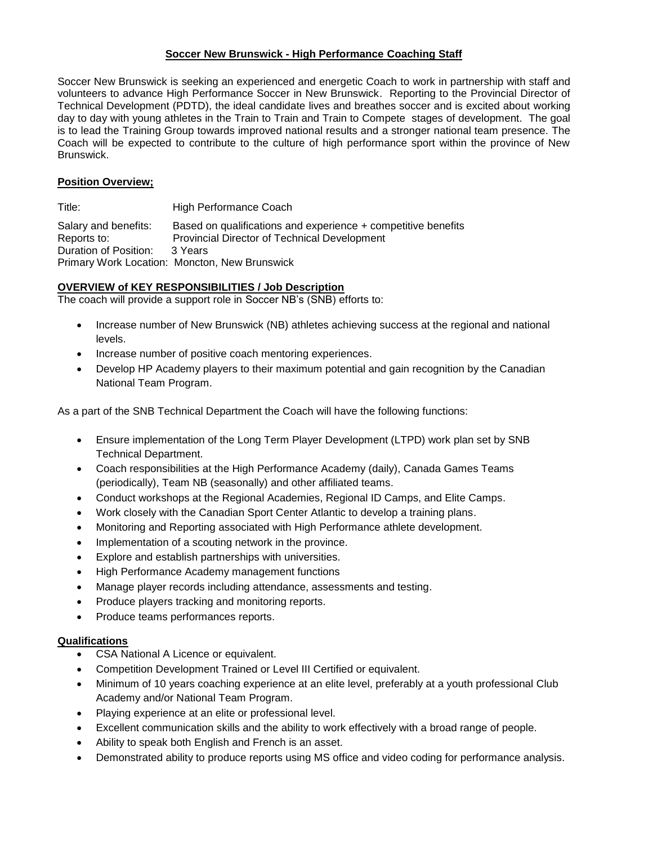### **Soccer New Brunswick - High Performance Coaching Staff**

Soccer New Brunswick is seeking an experienced and energetic Coach to work in partnership with staff and volunteers to advance High Performance Soccer in New Brunswick. Reporting to the Provincial Director of Technical Development (PDTD), the ideal candidate lives and breathes soccer and is excited about working day to day with young athletes in the Train to Train and Train to Compete stages of development. The goal is to lead the Training Group towards improved national results and a stronger national team presence. The Coach will be expected to contribute to the culture of high performance sport within the province of New Brunswick.

# **Position Overview;**

Title: High Performance Coach Salary and benefits: Based on qualifications and experience + competitive benefits Reports to: Provincial Director of Technical Development Duration of Position: 3 Years Primary Work Location: Moncton, New Brunswick

# **OVERVIEW of KEY RESPONSIBILITIES / Job Description**

The coach will provide a support role in Soccer NB's (SNB) efforts to:

- Increase number of New Brunswick (NB) athletes achieving success at the regional and national levels.
- Increase number of positive coach mentoring experiences.
- Develop HP Academy players to their maximum potential and gain recognition by the Canadian National Team Program.

As a part of the SNB Technical Department the Coach will have the following functions:

- Ensure implementation of the Long Term Player Development (LTPD) work plan set by SNB Technical Department.
- Coach responsibilities at the High Performance Academy (daily), Canada Games Teams (periodically), Team NB (seasonally) and other affiliated teams.
- Conduct workshops at the Regional Academies, Regional ID Camps, and Elite Camps.
- Work closely with the Canadian Sport Center Atlantic to develop a training plans.
- Monitoring and Reporting associated with High Performance athlete development.
- Implementation of a scouting network in the province.
- Explore and establish partnerships with universities.
- High Performance Academy management functions
- Manage player records including attendance, assessments and testing.
- Produce players tracking and monitoring reports.
- Produce teams performances reports.

#### **Qualifications**

- CSA National A Licence or equivalent.
- Competition Development Trained or Level III Certified or equivalent.
- Minimum of 10 years coaching experience at an elite level, preferably at a youth professional Club Academy and/or National Team Program.
- Playing experience at an elite or professional level.
- Excellent communication skills and the ability to work effectively with a broad range of people.
- Ability to speak both English and French is an asset.
- Demonstrated ability to produce reports using MS office and video coding for performance analysis.